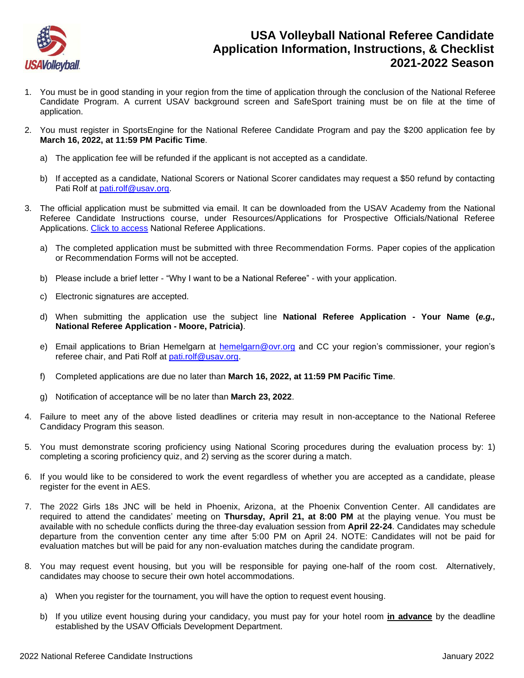

## **USA Volleyball National Referee Candidate Application Information, Instructions, & Checklist 2021-2022 Season**

- 1. You must be in good standing in your region from the time of application through the conclusion of the National Referee Candidate Program. A current USAV background screen and SafeSport training must be on file at the time of application.
- 2. You must register in SportsEngine for the National Referee Candidate Program and pay the \$200 application fee by **March 16, 2022, at 11:59 PM Pacific Time**.
	- a) The application fee will be refunded if the applicant is not accepted as a candidate.
	- b) If accepted as a candidate, National Scorers or National Scorer candidates may request a \$50 refund by contacting Pati Rolf at [pati.rolf@usav.org.](mailto:pati.rolf@usav.org)
- 3. The official application must be submitted via email. It can be downloaded from the USAV Academy from the National Referee Candidate Instructions course, under Resources/Applications for Prospective Officials/National Referee Applications. [Click to access](https://usavolleyball.org/resources-for-officials/officials-resources/#applications) National Referee Applications.
	- a) The completed application must be submitted with three Recommendation Forms. Paper copies of the application or Recommendation Forms will not be accepted.
	- b) Please include a brief letter "Why I want to be a National Referee" with your application.
	- c) Electronic signatures are accepted.
	- d) When submitting the application use the subject line **National Referee Application - Your Name (***e.g.,*  **National Referee Application - Moore, Patricia)**.
	- e) Email applications to Brian Hemelgarn at **hemelgarn@ovr.org** and CC your region's commissioner, your region's referee chair, and Pati Rolf at [pati.rolf@usav.org.](mailto:pati.rolf@usav.org)
	- f) Completed applications are due no later than **March 16, 2022, at 11:59 PM Pacific Time**.
	- g) Notification of acceptance will be no later than **March 23, 2022**.
- 4. Failure to meet any of the above listed deadlines or criteria may result in non-acceptance to the National Referee Candidacy Program this season.
- 5. You must demonstrate scoring proficiency using National Scoring procedures during the evaluation process by: 1) completing a scoring proficiency quiz, and 2) serving as the scorer during a match.
- 6. If you would like to be considered to work the event regardless of whether you are accepted as a candidate, please register for the event in AES.
- 7. The 2022 Girls 18s JNC will be held in Phoenix, Arizona, at the Phoenix Convention Center. All candidates are required to attend the candidates' meeting on **Thursday, April 21, at 8:00 PM** at the playing venue. You must be available with no schedule conflicts during the three-day evaluation session from **April 22-24**. Candidates may schedule departure from the convention center any time after 5:00 PM on April 24. NOTE: Candidates will not be paid for evaluation matches but will be paid for any non-evaluation matches during the candidate program.
- 8. You may request event housing, but you will be responsible for paying one-half of the room cost. Alternatively, candidates may choose to secure their own hotel accommodations.
	- a) When you register for the tournament, you will have the option to request event housing.
	- b) If you utilize event housing during your candidacy, you must pay for your hotel room **in advance** by the deadline established by the USAV Officials Development Department.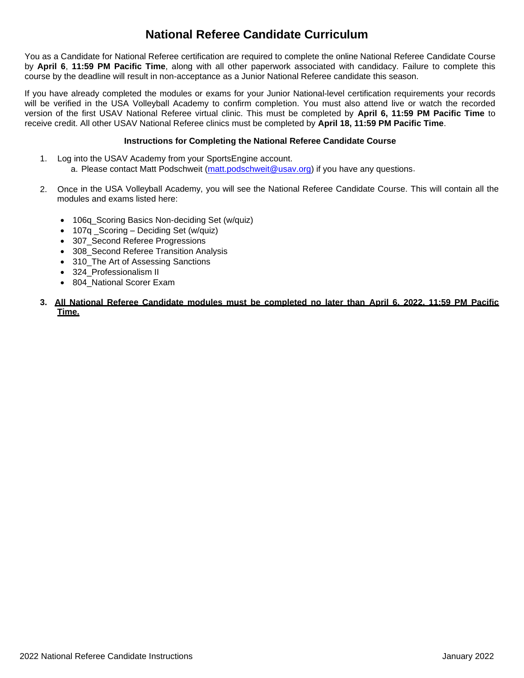# **National Referee Candidate Curriculum**

You as a Candidate for National Referee certification are required to complete the online National Referee Candidate Course by **April 6**, **11:59 PM Pacific Time**, along with all other paperwork associated with candidacy. Failure to complete this course by the deadline will result in non-acceptance as a Junior National Referee candidate this season.

If you have already completed the modules or exams for your Junior National-level certification requirements your records will be verified in the USA Volleyball Academy to confirm completion. You must also attend live or watch the recorded version of the first USAV National Referee virtual clinic. This must be completed by **April 6, 11:59 PM Pacific Time** to receive credit. All other USAV National Referee clinics must be completed by **April 18, 11:59 PM Pacific Time**.

### **Instructions for Completing the National Referee Candidate Course**

- 1. Log into the USAV Academy from your SportsEngine account.
	- a. Please contact Matt Podschweit [\(matt.podschweit@usav.org\)](mailto:matt.podschweit@usav.org) if you have any questions.
- 2. Once in the USA Volleyball Academy, you will see the National Referee Candidate Course. This will contain all the modules and exams listed here:
	- 106q\_Scoring Basics Non-deciding Set (w/quiz)
	- 107q \_Scoring Deciding Set (w/quiz)
	- 307\_Second Referee Progressions
	- 308 Second Referee Transition Analysis
	- 310 The Art of Assessing Sanctions
	- 324 Professionalism II
	- 804\_National Scorer Exam
- **3. All National Referee Candidate modules must be completed no later than April 6, 2022, 11:59 PM Pacific Time.**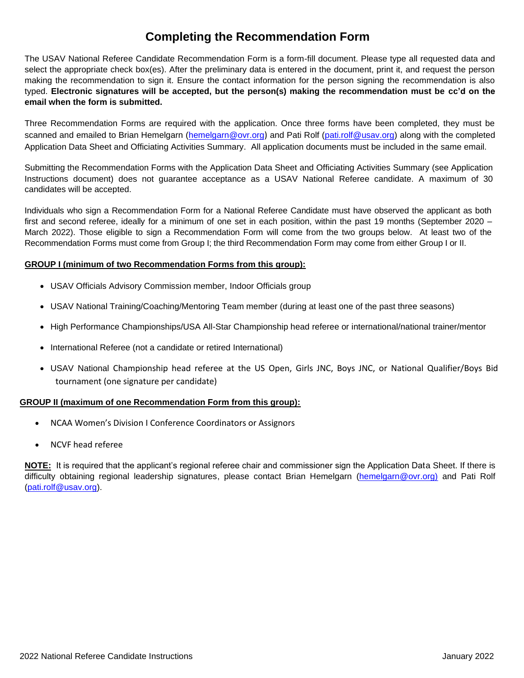## **Completing the Recommendation Form**

The USAV National Referee Candidate Recommendation Form is a form-fill document. Please type all requested data and select the appropriate check box(es). After the preliminary data is entered in the document, print it, and request the person making the recommendation to sign it. Ensure the contact information for the person signing the recommendation is also typed. **Electronic signatures will be accepted, but the person(s) making the recommendation must be cc'd on the email when the form is submitted.**

Three Recommendation Forms are required with the application. Once three forms have been completed, they must be scanned and emailed to Brian Hemelgarn [\(hemelgarn@ovr.org](mailto:hemelgarn@ovr.org)) and Pati Rolf [\(pati.rolf@usav.org\)](mailto:pati.rolf@usav.org) along with the completed Application Data Sheet and Officiating Activities Summary. All application documents must be included in the same email.

Submitting the Recommendation Forms with the Application Data Sheet and Officiating Activities Summary (see Application Instructions document) does not guarantee acceptance as a USAV National Referee candidate. A maximum of 30 candidates will be accepted.

Individuals who sign a Recommendation Form for a National Referee Candidate must have observed the applicant as both first and second referee, ideally for a minimum of one set in each position, within the past 19 months (September 2020 – March 2022). Those eligible to sign a Recommendation Form will come from the two groups below. At least two of the Recommendation Forms must come from Group I; the third Recommendation Form may come from either Group I or II.

### **GROUP I (minimum of two Recommendation Forms from this group):**

- USAV Officials Advisory Commission member, Indoor Officials group
- USAV National Training/Coaching/Mentoring Team member (during at least one of the past three seasons)
- High Performance Championships/USA All-Star Championship head referee or international/national trainer/mentor
- International Referee (not a candidate or retired International)
- USAV National Championship head referee at the US Open, Girls JNC, Boys JNC, or National Qualifier/Boys Bid tournament (one signature per candidate)

### **GROUP II (maximum of one Recommendation Form from this group):**

- NCAA Women's Division I Conference Coordinators or Assignors
- NCVF head referee

**NOTE:** It is required that the applicant's regional referee chair and commissioner sign the Application Data Sheet. If there is difficulty obtaining regional leadership signatures, please contact Brian Hemelgarn [\(hemelgarn@ovr.org\)](mailto:hemelgarn@ovr.org) and Pati Rolf [\(pati.rolf@usav.org\)](mailto:pati.rolf@usav.org).